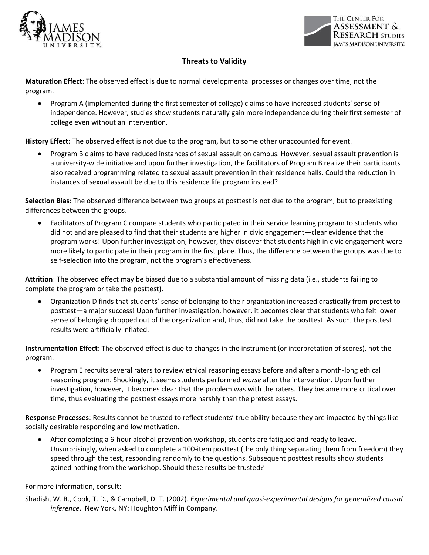



## **Threats to Validity**

**Maturation Effect**: The observed effect is due to normal developmental processes or changes over time, not the program.

• Program A (implemented during the first semester of college) claims to have increased students' sense of independence. However, studies show students naturally gain more independence during their first semester of college even without an intervention.

**History Effect**: The observed effect is not due to the program, but to some other unaccounted for event.

• Program B claims to have reduced instances of sexual assault on campus. However, sexual assault prevention is a university-wide initiative and upon further investigation, the facilitators of Program B realize their participants also received programming related to sexual assault prevention in their residence halls. Could the reduction in instances of sexual assault be due to this residence life program instead?

**Selection Bias**: The observed difference between two groups at posttest is not due to the program, but to preexisting differences between the groups.

• Facilitators of Program C compare students who participated in their service learning program to students who did not and are pleased to find that their students are higher in civic engagement—clear evidence that the program works! Upon further investigation, however, they discover that students high in civic engagement were more likely to participate in their program in the first place. Thus, the difference between the groups was due to self-selection into the program, not the program's effectiveness.

**Attrition**: The observed effect may be biased due to a substantial amount of missing data (i.e., students failing to complete the program or take the posttest).

• Organization D finds that students' sense of belonging to their organization increased drastically from pretest to posttest—a major success! Upon further investigation, however, it becomes clear that students who felt lower sense of belonging dropped out of the organization and, thus, did not take the posttest. As such, the posttest results were artificially inflated.

**Instrumentation Effect**: The observed effect is due to changes in the instrument (or interpretation of scores), not the program.

• Program E recruits several raters to review ethical reasoning essays before and after a month-long ethical reasoning program. Shockingly, it seems students performed *worse* after the intervention. Upon further investigation, however, it becomes clear that the problem was with the raters. They became more critical over time, thus evaluating the posttest essays more harshly than the pretest essays.

**Response Processes**: Results cannot be trusted to reflect students' true ability because they are impacted by things like socially desirable responding and low motivation.

• After completing a 6-hour alcohol prevention workshop, students are fatigued and ready to leave. Unsurprisingly, when asked to complete a 100-item posttest (the only thing separating them from freedom) they speed through the test, responding randomly to the questions. Subsequent posttest results show students gained nothing from the workshop. Should these results be trusted?

For more information, consult:

Shadish, W. R., Cook, T. D., & Campbell, D. T. (2002). *Experimental and quasi-experimental designs for generalized causal inference*. New York, NY: Houghton Mifflin Company.